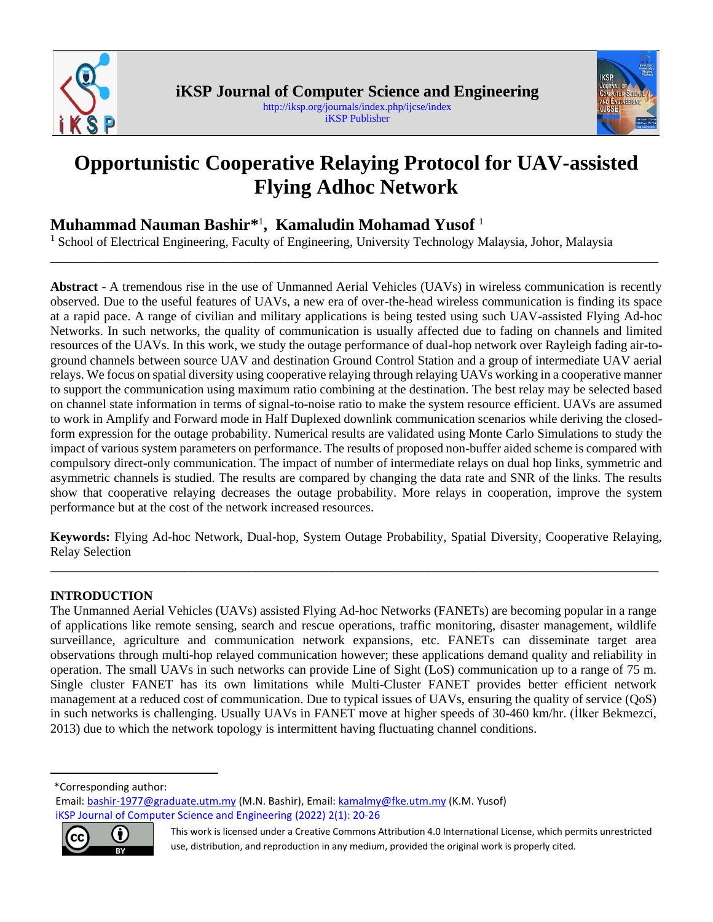



# **Opportunistic Cooperative Relaying Protocol for UAV-assisted Flying Adhoc Network**

**\_\_\_\_\_\_\_\_\_\_\_\_\_\_\_\_\_\_\_\_\_\_\_\_\_\_\_\_\_\_\_\_\_\_\_\_\_\_\_\_\_\_\_\_\_\_\_\_\_\_\_\_\_\_\_\_\_\_\_\_\_\_\_\_\_\_\_\_\_\_\_\_\_\_\_\_\_\_\_\_\_\_\_\_\_\_\_\_\_\_\_\_\_\_\_**

# **Muhammad Nauman Bashir\*** 1 **, <sup>1</sup> Kamaludin Mohamad Yusof** <sup>1</sup>

<sup>1</sup> School of Electrical Engineering, Faculty of Engineering, University Technology Malaysia, Johor, Malaysia

**Abstract -** A tremendous rise in the use of Unmanned Aerial Vehicles (UAVs) in wireless communication is recently observed. Due to the useful features of UAVs, a new era of over-the-head wireless communication is finding its space at a rapid pace. A range of civilian and military applications is being tested using such UAV-assisted Flying Ad-hoc Networks. In such networks, the quality of communication is usually affected due to fading on channels and limited resources of the UAVs. In this work, we study the outage performance of dual-hop network over Rayleigh fading air-toground channels between source UAV and destination Ground Control Station and a group of intermediate UAV aerial relays. We focus on spatial diversity using cooperative relaying through relaying UAVs working in a cooperative manner to support the communication using maximum ratio combining at the destination. The best relay may be selected based on channel state information in terms of signal-to-noise ratio to make the system resource efficient. UAVs are assumed to work in Amplify and Forward mode in Half Duplexed downlink communication scenarios while deriving the closedform expression for the outage probability. Numerical results are validated using Monte Carlo Simulations to study the impact of various system parameters on performance. The results of proposed non-buffer aided scheme is compared with compulsory direct-only communication. The impact of number of intermediate relays on dual hop links, symmetric and asymmetric channels is studied. The results are compared by changing the data rate and SNR of the links. The results show that cooperative relaying decreases the outage probability. More relays in cooperation, improve the system performance but at the cost of the network increased resources.

**Keywords:** Flying Ad-hoc Network, Dual-hop, System Outage Probability, Spatial Diversity, Cooperative Relaying, Relay Selection **\_\_\_\_\_\_\_\_\_\_\_\_\_\_\_\_\_\_\_\_\_\_\_\_\_\_\_\_\_\_\_\_\_\_\_\_\_\_\_\_\_\_\_\_\_\_\_\_\_\_\_\_\_\_\_\_\_\_\_\_\_\_\_\_\_\_\_\_\_\_\_\_\_\_\_\_\_\_\_\_\_\_\_\_\_\_\_\_\_\_\_\_\_\_\_**

# **INTRODUCTION**

The Unmanned Aerial Vehicles (UAVs) assisted Flying Ad-hoc Networks (FANETs) are becoming popular in a range of applications like remote sensing, search and rescue operations, traffic monitoring, disaster management, wildlife surveillance, agriculture and communication network expansions, etc. FANETs can disseminate target area observations through multi-hop relayed communication however; these applications demand quality and reliability in operation. The small UAVs in such networks can provide Line of Sight (LoS) communication up to a range of 75 m. Single cluster FANET has its own limitations while Multi-Cluster FANET provides better efficient network management at a reduced cost of communication. Due to typical issues of UAVs, ensuring the quality of service (QoS) in such networks is challenging. Usually UAVs in FANET move at higher speeds of 30-460 km/hr. (İlker Bekmezci, 2013) due to which the network topology is intermittent having fluctuating channel conditions.

<sup>1</sup>\*Corresponding author:

Email: [bashir-1977@graduate.utm.my](mailto:bashir-1977@graduate.utm.my) (M.N. Bashir), Email[: kamalmy@fke.utm.my](mailto:kamalmy@fke.utm.my) (K.M. Yusof)  [iKSP Journal of Computer Science and Engineering](http://iksp.org/journals/index.php/ijcse/index) (2022) 2(1): 20-26



This work is licensed under a Creative Commons Attribution 4.0 International License, which permits unrestricted use, distribution, and reproduction in any medium, provided the original work is properly cited.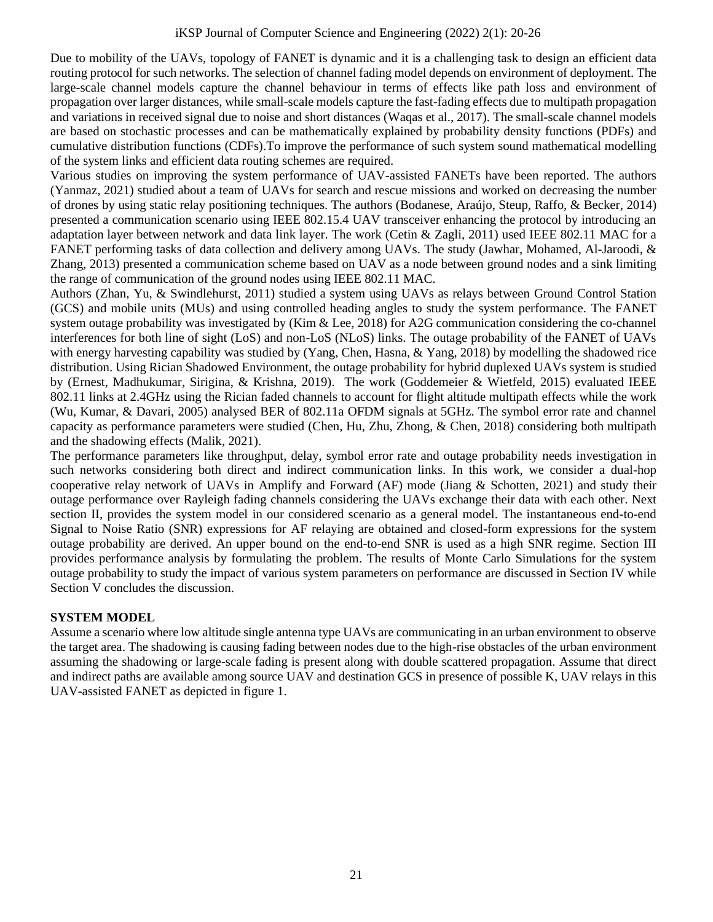Due to mobility of the UAVs, topology of FANET is dynamic and it is a challenging task to design an efficient data routing protocol for such networks. The selection of channel fading model depends on environment of deployment. The large-scale channel models capture the channel behaviour in terms of effects like path loss and environment of propagation over larger distances, while small-scale models capture the fast-fading effects due to multipath propagation and variations in received signal due to noise and short distances (Waqas et al., 2017). The small-scale channel models are based on stochastic processes and can be mathematically explained by probability density functions (PDFs) and cumulative distribution functions (CDFs).To improve the performance of such system sound mathematical modelling of the system links and efficient data routing schemes are required.

Various studies on improving the system performance of UAV-assisted FANETs have been reported. The authors (Yanmaz, 2021) studied about a team of UAVs for search and rescue missions and worked on decreasing the number of drones by using static relay positioning techniques. The authors (Bodanese, Araújo, Steup, Raffo, & Becker, 2014) presented a communication scenario using IEEE 802.15.4 UAV transceiver enhancing the protocol by introducing an adaptation layer between network and data link layer. The work (Cetin & Zagli, 2011) used IEEE 802.11 MAC for a FANET performing tasks of data collection and delivery among UAVs. The study (Jawhar, Mohamed, Al-Jaroodi, & Zhang, 2013) presented a communication scheme based on UAV as a node between ground nodes and a sink limiting the range of communication of the ground nodes using IEEE 802.11 MAC.

Authors (Zhan, Yu, & Swindlehurst, 2011) studied a system using UAVs as relays between Ground Control Station (GCS) and mobile units (MUs) and using controlled heading angles to study the system performance. The FANET system outage probability was investigated by (Kim & Lee, 2018) for A2G communication considering the co-channel interferences for both line of sight (LoS) and non-LoS (NLoS) links. The outage probability of the FANET of UAVs with energy harvesting capability was studied by (Yang, Chen, Hasna, & Yang, 2018) by modelling the shadowed rice distribution. Using Rician Shadowed Environment, the outage probability for hybrid duplexed UAVs system is studied by (Ernest, Madhukumar, Sirigina, & Krishna, 2019). The work (Goddemeier & Wietfeld, 2015) evaluated IEEE 802.11 links at 2.4GHz using the Rician faded channels to account for flight altitude multipath effects while the work (Wu, Kumar, & Davari, 2005) analysed BER of 802.11a OFDM signals at 5GHz. The symbol error rate and channel capacity as performance parameters were studied (Chen, Hu, Zhu, Zhong, & Chen, 2018) considering both multipath and the shadowing effects (Malik, 2021).

The performance parameters like throughput, delay, symbol error rate and outage probability needs investigation in such networks considering both direct and indirect communication links. In this work, we consider a dual-hop cooperative relay network of UAVs in Amplify and Forward (AF) mode (Jiang & Schotten, 2021) and study their outage performance over Rayleigh fading channels considering the UAVs exchange their data with each other. Next section II, provides the system model in our considered scenario as a general model. The instantaneous end-to-end Signal to Noise Ratio (SNR) expressions for AF relaying are obtained and closed-form expressions for the system outage probability are derived. An upper bound on the end-to-end SNR is used as a high SNR regime. Section III provides performance analysis by formulating the problem. The results of Monte Carlo Simulations for the system outage probability to study the impact of various system parameters on performance are discussed in Section IV while Section V concludes the discussion.

## **SYSTEM MODEL**

Assume a scenario where low altitude single antenna type UAVs are communicating in an urban environment to observe the target area. The shadowing is causing fading between nodes due to the high-rise obstacles of the urban environment assuming the shadowing or large-scale fading is present along with double scattered propagation. Assume that direct and indirect paths are available among source UAV and destination GCS in presence of possible K, UAV relays in this UAV-assisted FANET as depicted in figure 1.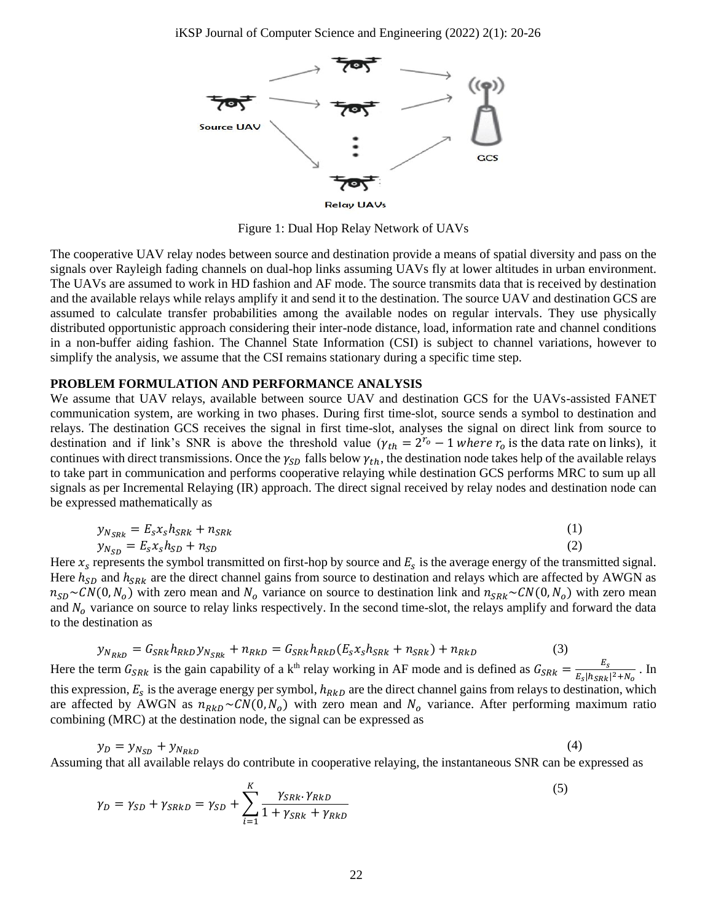

Figure 1: Dual Hop Relay Network of UAVs

The cooperative UAV relay nodes between source and destination provide a means of spatial diversity and pass on the signals over Rayleigh fading channels on dual-hop links assuming UAVs fly at lower altitudes in urban environment. The UAVs are assumed to work in HD fashion and AF mode. The source transmits data that is received by destination and the available relays while relays amplify it and send it to the destination. The source UAV and destination GCS are assumed to calculate transfer probabilities among the available nodes on regular intervals. They use physically distributed opportunistic approach considering their inter-node distance, load, information rate and channel conditions in a non-buffer aiding fashion. The Channel State Information (CSI) is subject to channel variations, however to simplify the analysis, we assume that the CSI remains stationary during a specific time step.

#### **PROBLEM FORMULATION AND PERFORMANCE ANALYSIS**

We assume that UAV relays, available between source UAV and destination GCS for the UAVs-assisted FANET communication system, are working in two phases. During first time-slot, source sends a symbol to destination and relays. The destination GCS receives the signal in first time-slot, analyses the signal on direct link from source to destination and if link's SNR is above the threshold value  $(\gamma_{th} = 2^{r_o} - 1$  where  $r_o$  is the data rate on links), it continues with direct transmissions. Once the  $\gamma_{SD}$  falls below  $\gamma_{th}$ , the destination node takes help of the available relays to take part in communication and performs cooperative relaying while destination GCS performs MRC to sum up all signals as per Incremental Relaying (IR) approach. The direct signal received by relay nodes and destination node can be expressed mathematically as

$$
y_{N_{SRk}} = E_s x_s h_{SRk} + n_{SRk} \tag{1}
$$

$$
y_{N_{SD}} = E_s x_s h_{SD} + n_{SD} \tag{2}
$$

Here  $x_s$  represents the symbol transmitted on first-hop by source and  $E_s$  is the average energy of the transmitted signal. Here  $h_{SD}$  and  $h_{SRR}$  are the direct channel gains from source to destination and relays which are affected by AWGN as  $n_{SD} \sim CN(0, N_o)$  with zero mean and  $N_o$  variance on source to destination link and  $n_{SRk} \sim CN(0, N_o)$  with zero mean and  $N<sub>o</sub>$  variance on source to relay links respectively. In the second time-slot, the relays amplify and forward the data to the destination as

$$
y_{N_{RkD}} = G_{SRk} h_{RkD} y_{N_{SRk}} + n_{RkD} = G_{SRk} h_{RkD} (E_s x_s h_{SRk} + n_{SRk}) + n_{RkD}
$$
\n
$$
\tag{3}
$$

Here the term  $G_{SRk}$  is the gain capability of a k<sup>th</sup> relay working in AF mode and is defined as  $G_{SRk} = \frac{E_S}{E \cdot R_{SNk}}$  $\frac{E_S}{|h_{SRk}|^2 + N_o}$ . In

this expression,  $E_s$  is the average energy per symbol,  $h_{RkD}$  are the direct channel gains from relays to destination, which are affected by AWGN as  $n_{RkD} \sim CN(0, N_o)$  with zero mean and  $N_o$  variance. After performing maximum ratio combining (MRC) at the destination node, the signal can be expressed as

$$
y_D = y_{N_{SD}} + y_{N_{RkD}} \tag{4}
$$

Assuming that all available relays do contribute in cooperative relaying, the instantaneous SNR can be expressed as

$$
\gamma_D = \gamma_{SD} + \gamma_{SRKD} = \gamma_{SD} + \sum_{i=1}^{K} \frac{\gamma_{SRk} \cdot \gamma_{RkD}}{1 + \gamma_{SRk} + \gamma_{RkD}}
$$
\n
$$
\tag{5}
$$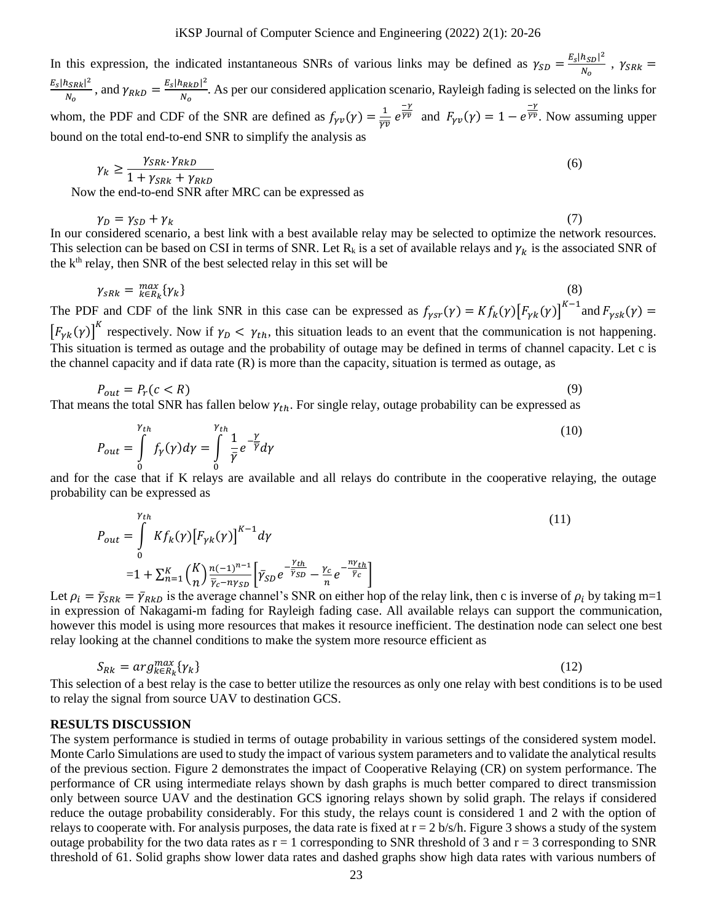In this expression, the indicated instantaneous SNRs of various links may be defined as  $\gamma_{SD} = \frac{E_S |h_{SD}|^2}{N}$  $\frac{n_{SD1}}{N_o}$ ,  $\gamma_{SRk} =$  $E_{S} |h_{S R k}|^{2}$  $\frac{|h_{SRk}|^2}{N_o}$ , and  $\gamma_{RkD} = \frac{E_s |h_{RkD}|^2}{N_o}$  $\frac{MRED}{N_0}$ . As per our considered application scenario, Rayleigh fading is selected on the links for whom, the PDF and CDF of the SNR are defined as  $f_{\gamma \nu}(\gamma) = \frac{1}{\gamma \gamma}$  $rac{1}{\overline{\gamma v}} e^{\frac{-\gamma}{\overline{\gamma v}}}$  $\frac{-\gamma}{\overline{\gamma v}}$  and  $F_{\gamma v}(\gamma) = 1 - e^{\frac{-\gamma}{\overline{\gamma v}}}$  $\overline{\overline{Y}}\overline{Y}$ . Now assuming upper bound on the total end-to-end SNR to simplify the analysis as

$$
\gamma_k \ge \frac{\gamma_{SRk} \cdot \gamma_{RkD}}{1 + \gamma_{SRk} + \gamma_{RkD}}
$$
\nwhere  $\gamma_k$  is the end to end SNP after MPC can be expressed as

Now the end-to-end SNR after MRC can be expressed as

$$
\gamma_D = \gamma_{SD} + \gamma_k \tag{7}
$$

In our considered scenario, a best link with a best available relay may be selected to optimize the network resources. This selection can be based on CSI in terms of SNR. Let  $R_k$  is a set of available relays and  $\gamma_k$  is the associated SNR of the  $k<sup>th</sup>$  relay, then SNR of the best selected relay in this set will be

$$
\gamma_{sRk} = \max_{k \in R_k} {\gamma_k}
$$
 (8)

The PDF and CDF of the link SNR in this case can be expressed as  $f_{\gamma sr}(\gamma) = K f_k(\gamma) [F_{\gamma k}(\gamma)]^{K-1}$  and  $F_{\gamma sk}(\gamma) =$  $\left[F_{\gamma k}(\gamma)\right]^K$  respectively. Now if  $\gamma_D < \gamma_{th}$ , this situation leads to an event that the communication is not happening. This situation is termed as outage and the probability of outage may be defined in terms of channel capacity. Let c is the channel capacity and if data rate  $(R)$  is more than the capacity, situation is termed as outage, as

$$
P_{out} = P_r(c < R) \tag{9}
$$

That means the total SNR has fallen below  $\gamma_{th}$ . For single relay, outage probability can be expressed as

$$
P_{out} = \int_{0}^{\gamma_{th}} f_{\gamma}(\gamma) d\gamma = \int_{0}^{\gamma_{th}} \frac{1}{\bar{\gamma}} e^{-\frac{\gamma}{\bar{\gamma}}} d\gamma
$$
 (10)

<sup>0</sup><br>and for the case that if K relays are available and all relays do contribute in the cooperative relaying, the outage probability can be expressed as

$$
P_{out} = \int_{0}^{\gamma_{th}} K f_k(\gamma) \left[ F_{\gamma k}(\gamma) \right]^{K-1} d\gamma
$$
  
= 1 + \sum\_{n=1}^{K} {K \choose n} \frac{n(-1)^{n-1}}{\overline{\gamma}\_{c} - n\gamma\_{SD}} \left[ \overline{\gamma}\_{SD} e^{-\frac{\gamma\_{th}}{\overline{\gamma}\_{SD}}} - \frac{\gamma\_c}{n} e^{-\frac{n\gamma\_{th}}{\overline{\gamma}\_{C}}} \right]

Let  $\rho_i = \bar{\gamma}_{SRk} = \bar{\gamma}_{RkD}$  is the average channel's SNR on either hop of the relay link, then c is inverse of  $\rho_i$  by taking m=1 in expression of Nakagami-m fading for Rayleigh fading case. All available relays can support the communication, however this model is using more resources that makes it resource inefficient. The destination node can select one best relay looking at the channel conditions to make the system more resource efficient as

$$
S_{Rk} = arg_{k \in R_k}^{max} \{ \gamma_k \} \tag{12}
$$

This selection of a best relay is the case to better utilize the resources as only one relay with best conditions is to be used to relay the signal from source UAV to destination GCS.

#### **RESULTS DISCUSSION**

The system performance is studied in terms of outage probability in various settings of the considered system model. Monte Carlo Simulations are used to study the impact of various system parameters and to validate the analytical results of the previous section. Figure 2 demonstrates the impact of Cooperative Relaying (CR) on system performance. The performance of CR using intermediate relays shown by dash graphs is much better compared to direct transmission only between source UAV and the destination GCS ignoring relays shown by solid graph. The relays if considered reduce the outage probability considerably. For this study, the relays count is considered 1 and 2 with the option of relays to cooperate with. For analysis purposes, the data rate is fixed at  $r = 2$  b/s/h. Figure 3 shows a study of the system outage probability for the two data rates as  $r = 1$  corresponding to SNR threshold of 3 and  $r = 3$  corresponding to SNR threshold of 61. Solid graphs show lower data rates and dashed graphs show high data rates with various numbers of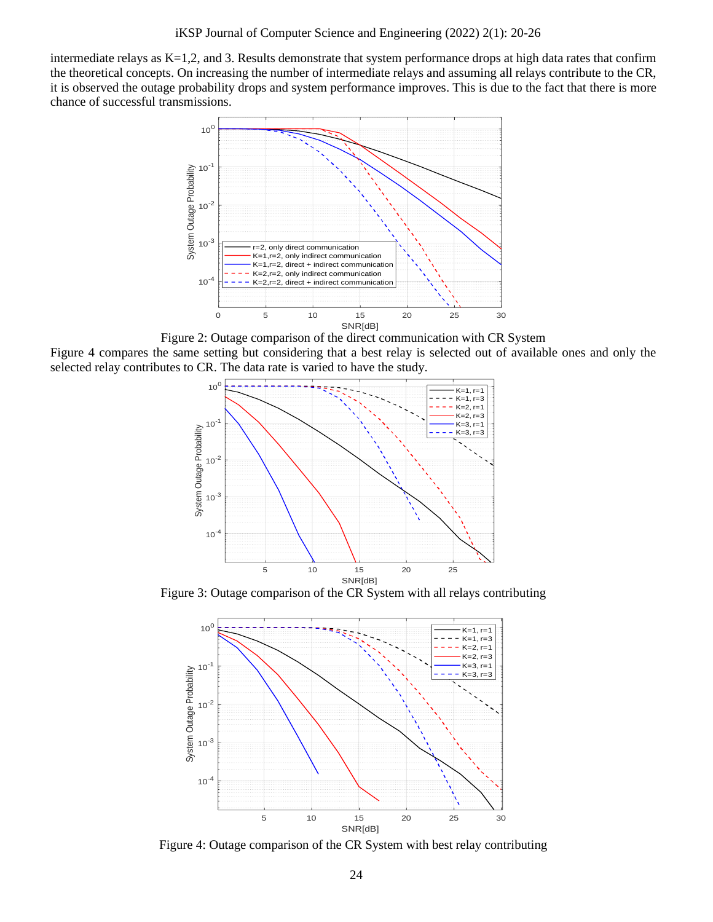intermediate relays as K=1,2, and 3. Results demonstrate that system performance drops at high data rates that confirm the theoretical concepts. On increasing the number of intermediate relays and assuming all relays contribute to the CR, it is observed the outage probability drops and system performance improves. This is due to the fact that there is more chance of successful transmissions.



Figure 2: Outage comparison of the direct communication with CR System

Figure 4 compares the same setting but considering that a best relay is selected out of available ones and only the selected relay contributes to CR. The data rate is varied to have the study.



Figure 3: Outage comparison of the CR System with all relays contributing



Figure 4: Outage comparison of the CR System with best relay contributing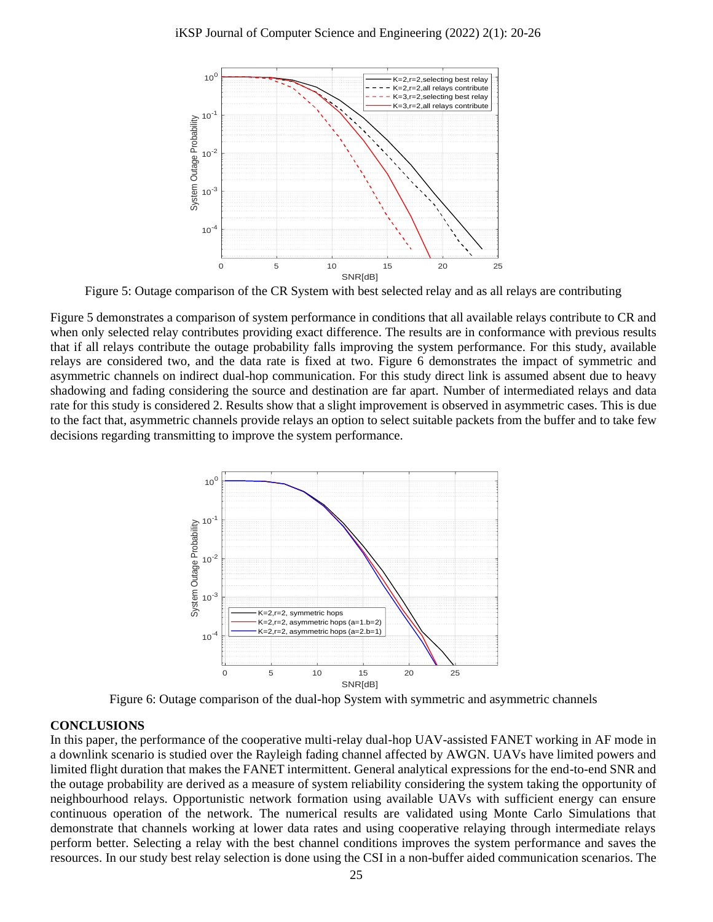

Figure 5: Outage comparison of the CR System with best selected relay and as all relays are contributing

Figure 5 demonstrates a comparison of system performance in conditions that all available relays contribute to CR and when only selected relay contributes providing exact difference. The results are in conformance with previous results that if all relays contribute the outage probability falls improving the system performance. For this study, available relays are considered two, and the data rate is fixed at two. Figure 6 demonstrates the impact of symmetric and asymmetric channels on indirect dual-hop communication. For this study direct link is assumed absent due to heavy shadowing and fading considering the source and destination are far apart. Number of intermediated relays and data rate for this study is considered 2. Results show that a slight improvement is observed in asymmetric cases. This is due to the fact that, asymmetric channels provide relays an option to select suitable packets from the buffer and to take few decisions regarding transmitting to improve the system performance.



Figure 6: Outage comparison of the dual-hop System with symmetric and asymmetric channels

#### **CONCLUSIONS**

In this paper, the performance of the cooperative multi-relay dual-hop UAV-assisted FANET working in AF mode in a downlink scenario is studied over the Rayleigh fading channel affected by AWGN. UAVs have limited powers and limited flight duration that makes the FANET intermittent. General analytical expressions for the end-to-end SNR and the outage probability are derived as a measure of system reliability considering the system taking the opportunity of neighbourhood relays. Opportunistic network formation using available UAVs with sufficient energy can ensure continuous operation of the network. The numerical results are validated using Monte Carlo Simulations that demonstrate that channels working at lower data rates and using cooperative relaying through intermediate relays perform better. Selecting a relay with the best channel conditions improves the system performance and saves the resources. In our study best relay selection is done using the CSI in a non-buffer aided communication scenarios. The